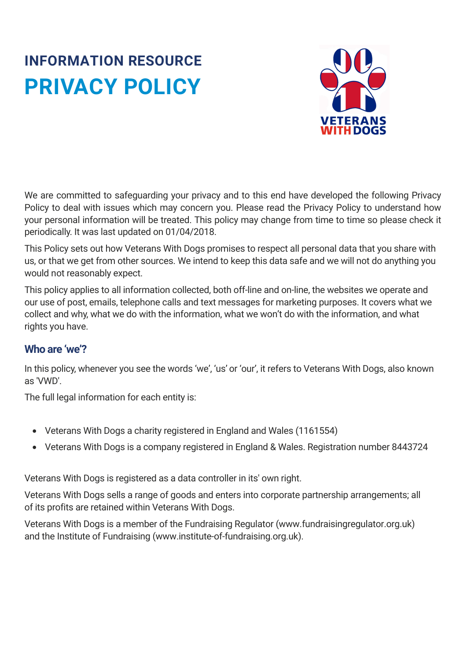# **INFORMATION RESOURCE PRIVACY POLICY**



We are committed to safeguarding your privacy and to this end have developed the following Privacy Policy to deal with issues which may concern you. Please read the Privacy Policy to understand how your personal information will be treated. This policy may change from time to time so please check it periodically. It was last updated on 01/04/2018.

This Policy sets out how Veterans With Dogs promises to respect all personal data that you share with us, or that we get from other sources. We intend to keep this data safe and we will not do anything you would not reasonably expect.

This policy applies to all information collected, both off-line and on-line, the websites we operate and our use of post, emails, telephone calls and text messages for marketing purposes. It covers what we collect and why, what we do with the information, what we won't do with the information, and what rights you have.

# **Who are 'we'?**

In this policy, whenever you see the words 'we', 'us' or 'our', it refers to Veterans With Dogs, also known as 'VWD'.

The full legal information for each entity is:

- Veterans With Dogs a charity registered in England and Wales (1161554)
- Veterans With Dogs is a company registered in England & Wales. Registration number 8443724

Veterans With Dogs is registered as a data controller in its' own right.

Veterans With Dogs sells a range of goods and enters into corporate partnership arrangements; all of its profits are retained within Veterans With Dogs.

Veterans With Dogs is a member of the Fundraising Regulator (www.fundraisingregulator.org.uk) and the Institute of Fundraising (www.institute-of-fundraising.org.uk).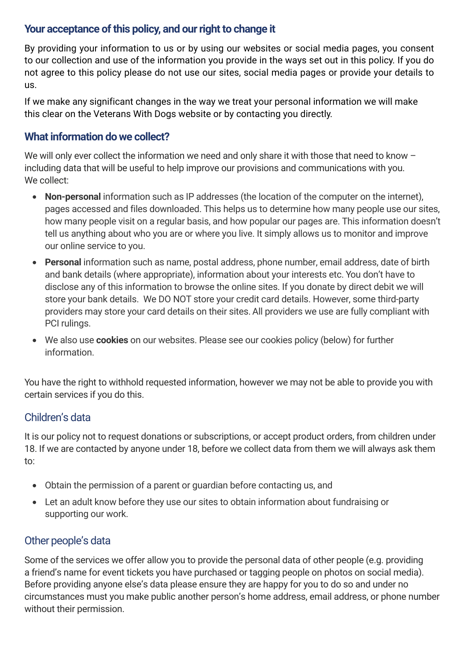## Your acceptance of this policy, and our right to change it

By providing your information to us or by using our websites or social media pages, you consent to our collection and use of the information you provide in the ways set out in this policy. If you do not agree to this policy please do not use our sites, social media pages or provide your details to us.

If we make any significant changes in the way we treat your personal information we will make this clear on the Veterans With Dogs website or by contacting you directly.

## **What information dowe collect?**

We will only ever collect the information we need and only share it with those that need to know including data that will be useful to help improve our provisions and communications with you. We collect:

- **Non-personal** information such as IP addresses (the location of the computer on the internet), pages accessed and files downloaded. This helps us to determine how many people use our sites, how many people visit on a regular basis, and how popular our pages are. This information doesn't tell us anything about who you are or where you live. It simply allows us to monitor and improve our online service to you.
- **Personal** information such as name, postal address, phone number, email address, date of birth and bank details (where appropriate), information about your interests etc. You don't have to disclose any of this information to browse the online sites. If you donate by direct debit we will store your bank details. We DO NOT store your credit card details. However, some third-party providers may store your card details on their sites. All providers we use are fully compliant with PCI rulings.
- We also use **cookies** on our websites. Please see our cookies policy (below) for further information.

You have the right to withhold requested information, however we may not be able to provide you with certain services if you do this.

## Children's data

It is our policy not to request donations or subscriptions, or accept product orders, from children under 18. If we are contacted by anyone under 18, before we collect data from them we will always ask them to:

- Obtain the permission of a parent or guardian before contacting us, and
- Let an adult know before they use our sites to obtain information about fundraising or supporting our work.

## Other people's data

Some of the services we offer allow you to provide the personal data of other people (e.g. providing a friend's name for event tickets you have purchased or tagging people on photos on social media). Before providing anyone else's data please ensure they are happy for you to do so and under no circumstances must you make public another person's home address, email address, or phone number without their permission.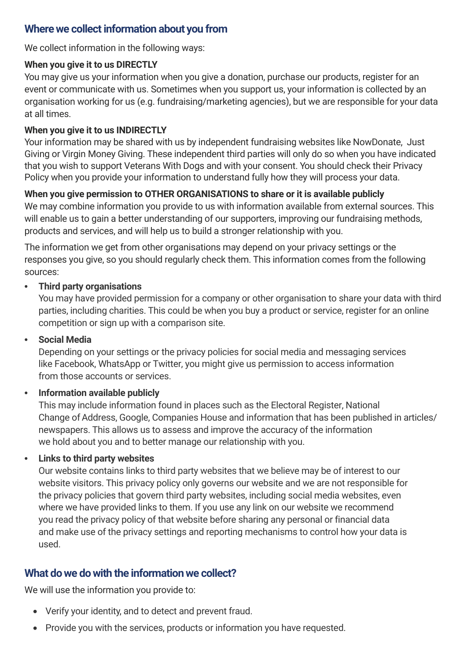### **Where we collect information about you from**

We collect information in the following ways:

#### **When you give it to us DIRECTLY**

You may give us your information when you give a donation, purchase our products, register for an event or communicate with us. Sometimes when you support us, your information is collected by an organisation working for us (e.g. fundraising/marketing agencies), but we are responsible for your data at all times.

#### **When you give it to us INDIRECTLY**

Your information may be shared with us by independent fundraising websites like NowDonate, Just Giving or Virgin Money Giving. These independent third parties will only do so when you have indicated that you wish to support Veterans With Dogs and with your consent. You should check their Privacy Policy when you provide your information to understand fully how they will process your data.

#### **When you give permission to OTHER ORGANISATIONS to share or it is available publicly**

We may combine information you provide to us with information available from external sources. This will enable us to gain a better understanding of our supporters, improving our fundraising methods, products and services, and will help us to build a stronger relationship with you.

The information we get from other organisations may depend on your privacy settings or the responses you give, so you should regularly check them. This information comes from the following sources:

#### **• Third party organisations**

You may have provided permission for a company or other organisation to share your data with third parties, including charities. This could be when you buy a product or service, register for an online competition or sign up with a comparison site.

#### **• Social Media**

Depending on your settings or the privacy policies for social media and messaging services like Facebook, WhatsApp or Twitter, you might give us permission to access information from those accounts or services.

#### **• Information available publicly**

This may include information found in places such as the Electoral Register, National Change of Address, Google, Companies House and information that has been published in articles/ newspapers. This allows us to assess and improve the accuracy of the information we hold about you and to better manage our relationship with you.

#### **• Links to third party websites**

Our website contains links to third party websites that we believe may be of interest to our website visitors. This privacy policy only governs our website and we are not responsible for the privacy policies that govern third party websites, including social media websites, even where we have provided links to them. If you use any link on our website we recommend you read the privacy policy of that website before sharing any personal or financial data and make use of the privacy settings and reporting mechanisms to control how your data is used.

## **What dowe dowith the information we collect?**

We will use the information you provide to:

- Verify your identity, and to detect and prevent fraud.
- Provide you with the services, products or information you have requested.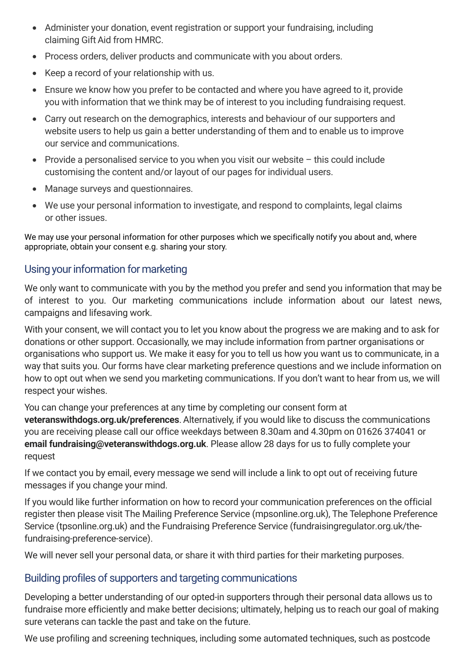- Administer your donation, event registration or support your fundraising, including claiming Gift Aid from HMRC.
- Process orders, deliver products and communicate with you about orders.
- Keep a record of your relationship with us.
- Ensure we know how you prefer to be contacted and where you have agreed to it, provide you with information that we think may be of interest to you including fundraising request.
- Carry out research on the demographics, interests and behaviour of our supporters and website users to help us gain a better understanding of them and to enable us to improve our service and communications.
- Provide a personalised service to you when you visit our website this could include customising the content and/or layout of our pages for individual users.
- Manage surveys and questionnaires.
- We use your personal information to investigate, and respond to complaints, legal claims or other issues.

We may use your personal information for other purposes which we specifically notify you about and, where appropriate, obtain your consent e.g. sharing your story.

# Usingyour information for marketing

We only want to communicate with you by the method you prefer and send you information that may be of interest to you. Our marketing communications include information about our latest news, campaigns and lifesaving work.

With your consent, we will contact you to let you know about the progress we are making and to ask for donations or other support. Occasionally, we may include information from partner organisations or organisations who support us. We make it easy for you to tell us how you want us to communicate, in a way that suits you. Our forms have clear marketing preference questions and we include information on how to opt out when we send you marketing communications. If you don't want to hear from us, we will respect your wishes.

You can change your preferences at any time by completing our consent form at **[veteranswithdogs.org.uk/preferences](http://www.combatstress.org.uk/preferences)**. Alternatively, if you would like to discuss the communications you are receiving please call our office weekdays between 8.30am and 4.30pm on 01626 374041 or **email [fundraising@veteranswithdogs.org.uk](mailto:fundraising@combatstress.org.uk)**. Please allow 28 days for us to fully complete your request

If we contact you by email, every message we send will include a link to opt out of receiving future messages if you change your mind.

If you would like further information on how to record your communication preferences on the official register then please visit The Mailing Preference Service [\(mpsonline.org.uk\)](http://www.mpsonline.org.uk/), The Telephone Preference Service [\(tpsonline.org.uk\)](http://www.tpsonline.org.uk/) and the Fundraising Preference Service (fundraisingregulator.org.uk/thefundraising-preference-service).

We will never sell your personal data, or share it with third parties for their marketing purposes.

# Building profiles of supporters and targeting communications

Developing a better understanding of our opted-in supporters through their personal data allows us to fundraise more efficiently and make better decisions; ultimately, helping us to reach our goal of making sure veterans can tackle the past and take on the future.

We use profiling and screening techniques, including some automated techniques, such as postcode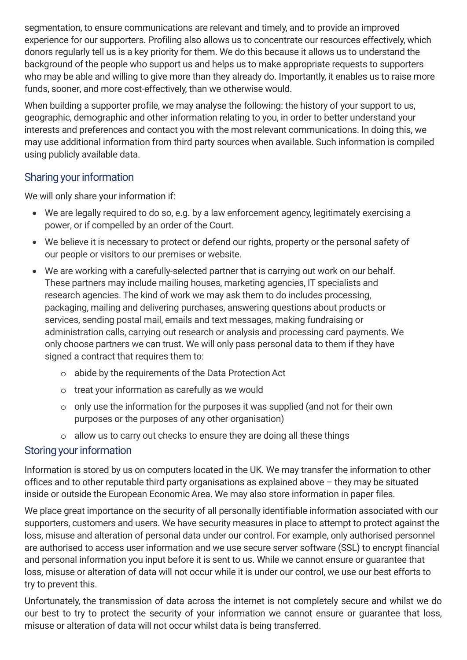segmentation, to ensure communications are relevant and timely, and to provide an improved experience for our supporters. Profiling also allows us to concentrate our resources effectively, which donors regularly tell us is a key priority for them. We do this because it allows us to understand the background of the people who support us and helps us to make appropriate requests to supporters who may be able and willing to give more than they already do. Importantly, it enables us to raise more funds, sooner, and more cost-effectively, than we otherwise would.

When building a supporter profile, we may analyse the following: the history of your support to us, geographic, demographic and other information relating to you, in order to better understand your interests and preferences and contact you with the most relevant communications. In doing this, we may use additional information from third party sources when available. Such information is compiled using publicly available data.

## Sharing your information

We will only share your information if:

- We are legally required to do so, e.g. by a law enforcement agency, legitimately exercising a power, or if compelled by an order of the Court.
- We believe it is necessary to protect or defend our rights, property or the personal safety of our people or visitors to our premises or website.
- We are working with a carefully-selected partner that is carrying out work on our behalf. These partners may include mailing houses, marketing agencies, IT specialists and research agencies. The kind of work we may ask them to do includes processing, packaging, mailing and delivering purchases, answering questions about products or services, sending postal mail, emails and text messages, making fundraising or administration calls, carrying out research or analysis and processing card payments. We only choose partners we can trust. We will only pass personal data to them if they have signed a contract that requires them to:
	- $\circ$  abide by the requirements of the Data Protection Act
	- o treat your information as carefully as we would
	- o only use the information for the purposes it was supplied (and not for their own purposes or the purposes of any other organisation)
	- o allow us to carry out checks to ensure they are doing all these things

# Storing your information

Information is stored by us on computers located in the UK. We may transfer the information to other offices and to other reputable third party organisations as explained above – they may be situated inside or outside the European Economic Area. We may also store information in paper files.

We place great importance on the security of all personally identifiable information associated with our supporters, customers and users. We have security measures in place to attempt to protect against the loss, misuse and alteration of personal data under our control. For example, only authorised personnel are authorised to access user information and we use secure server software (SSL) to encrypt financial and personal information you input before it is sent to us. While we cannot ensure or guarantee that loss, misuse or alteration of data will not occur while it is under our control, we use our best efforts to try to prevent this.

Unfortunately, the transmission of data across the internet is not completely secure and whilst we do our best to try to protect the security of your information we cannot ensure or guarantee that loss, misuse or alteration of data will not occur whilst data is being transferred.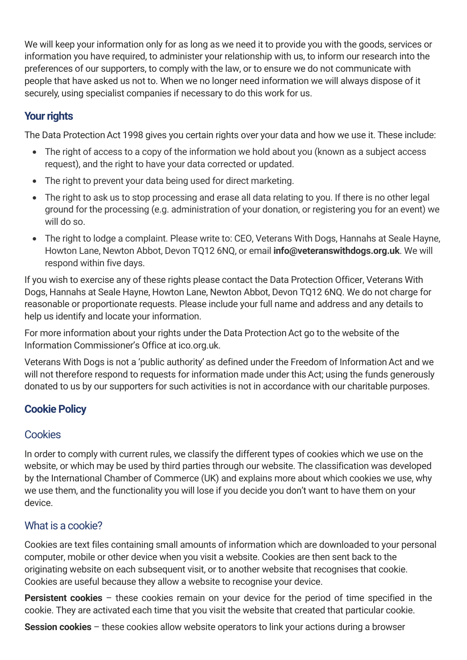We will keep your information only for as long as we need it to provide you with the goods, services or information you have required, to administer your relationship with us, to inform our research into the preferences of our supporters, to comply with the law, or to ensure we do not communicate with people that have asked us not to. When we no longer need information we will always dispose of it securely, using specialist companies if necessary to do this work for us.

# **Your rights**

The Data Protection Act 1998 gives you certain rights over your data and how we use it. These include:

- The right of access to a copy of the information we hold about you (known as a subject access request), and the right to have your data corrected or updated.
- The right to prevent your data being used for direct marketing.
- The right to ask us to stop processing and erase all data relating to you. If there is no other legal ground for the processing (e.g. administration of your donation, or registering you for an event) we will do so.
- The right to lodge a complaint. Please write to: CEO, Veterans With Dogs, Hannahs at Seale Hayne, Howton Lane, Newton Abbot, Devon TQ12 6NQ, or email **[info@veteranswithdogs.org.uk](mailto:Robert.Marsh@combatstress.org.uk)**. We will respond within five days.

If you wish to exercise any of these rights please contact the Data Protection Officer, Veterans With Dogs, Hannahs at Seale Hayne, Howton Lane, Newton Abbot, Devon TQ12 6NQ. We do not charge for reasonable or proportionate requests. Please include your full name and address and any details to help us identify and locate your information.

For more information about your rights under the Data Protection Act go to the website of the Information Commissioner's Office at ico.org.uk.

Veterans With Dogs is not a 'public authority' as defined under the Freedom of InformationAct and we will not therefore respond to requests for information made under this Act; using the funds generously donated to us by our supporters for such activities is not in accordance with our charitable purposes.

# **Cookie Policy**

# **Cookies**

In order to comply with current rules, we classify the different types of cookies which we use on the website, or which may be used by third parties through our website. The classification was developed by the International Chamber of Commerce (UK) and explains more about which cookies we use, why we use them, and the functionality you will lose if you decide you don't want to have them on your device.

# What is a cookie?

Cookies are text files containing small amounts of information which are downloaded to your personal computer, mobile or other device when you visit a website. Cookies are then sent back to the originating website on each subsequent visit, or to another website that recognises that cookie. Cookies are useful because they allow a website to recognise your device.

**Persistent cookies** – these cookies remain on your device for the period of time specified in the cookie. They are activated each time that you visit the website that created that particular cookie.

**Session cookies** – these cookies allow website operators to link your actions during a browser